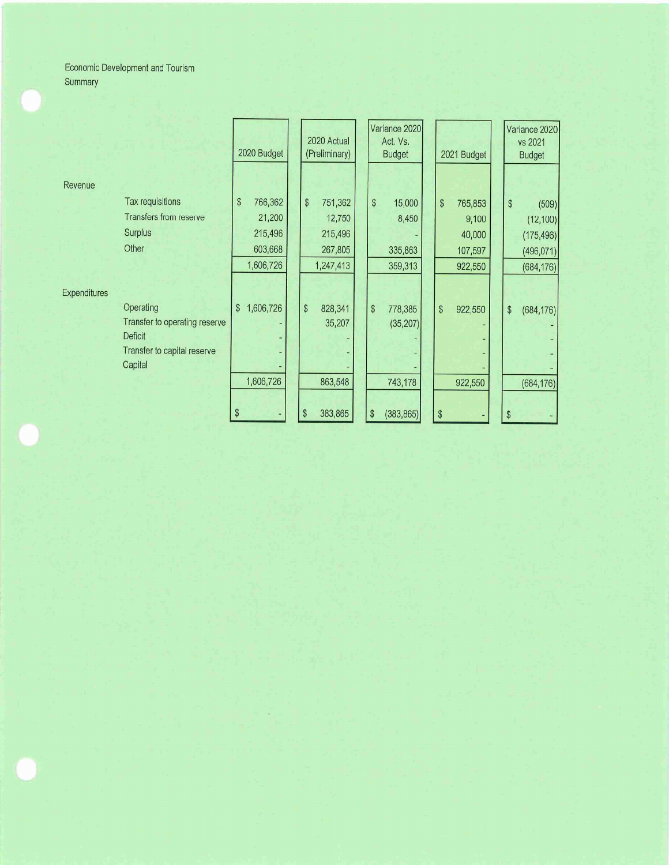Economic Development and Tourism Summary

|                     |                                        | 2020 Budget     | 2020 Actual<br>(Preliminary) |                         | Variance 2020<br>Act. Vs.<br><b>Budget</b> |    | 2021 Budget |                         | Variance 2020<br>vs 2021<br><b>Budget</b> |
|---------------------|----------------------------------------|-----------------|------------------------------|-------------------------|--------------------------------------------|----|-------------|-------------------------|-------------------------------------------|
| Revenue             |                                        |                 |                              |                         |                                            |    |             |                         |                                           |
|                     | Tax requisitions                       | \$<br>766,362   | \$<br>751,362                | $\sqrt[6]{\frac{1}{2}}$ | 15,000                                     | \$ | 765,853     | $\sqrt[6]{\frac{1}{2}}$ | (509)                                     |
|                     | <b>Transfers from reserve</b>          | 21,200          | 12,750                       |                         | 8,450                                      |    | 9,100       |                         | (12, 100)                                 |
|                     | <b>Surplus</b>                         | 215,496         | 215,496                      |                         |                                            |    | 40,000      |                         | (175, 496)                                |
|                     | Other                                  | 603,668         | 267,805                      |                         | 335,863                                    |    | 107,597     |                         | (496, 071)                                |
|                     |                                        | 1,606,726       | 1,247,413                    |                         | 359,313                                    |    | 922,550     |                         | (684, 176)                                |
| <b>Expenditures</b> |                                        |                 |                              |                         |                                            |    |             |                         |                                           |
|                     | Operating                              | \$<br>1,606,726 | \$<br>828,341                | \$                      | 778,385                                    | \$ | 922,550     | \$                      | (684, 176)                                |
|                     | Transfer to operating reserve          |                 | 35,207                       |                         | (35, 207)                                  |    |             |                         |                                           |
|                     | Deficit                                |                 |                              |                         |                                            |    |             |                         |                                           |
|                     | Transfer to capital reserve<br>Capital |                 |                              |                         |                                            |    |             |                         |                                           |
|                     |                                        |                 |                              |                         |                                            |    |             |                         |                                           |
|                     |                                        | 1,606,726       | 863,548                      |                         | 743,178                                    |    | 922,550     |                         | (684, 176)                                |
|                     |                                        |                 |                              |                         |                                            |    |             |                         |                                           |
|                     |                                        | S               | 383,865<br>\$                | \$                      | (383, 865)                                 | \$ |             | \$                      |                                           |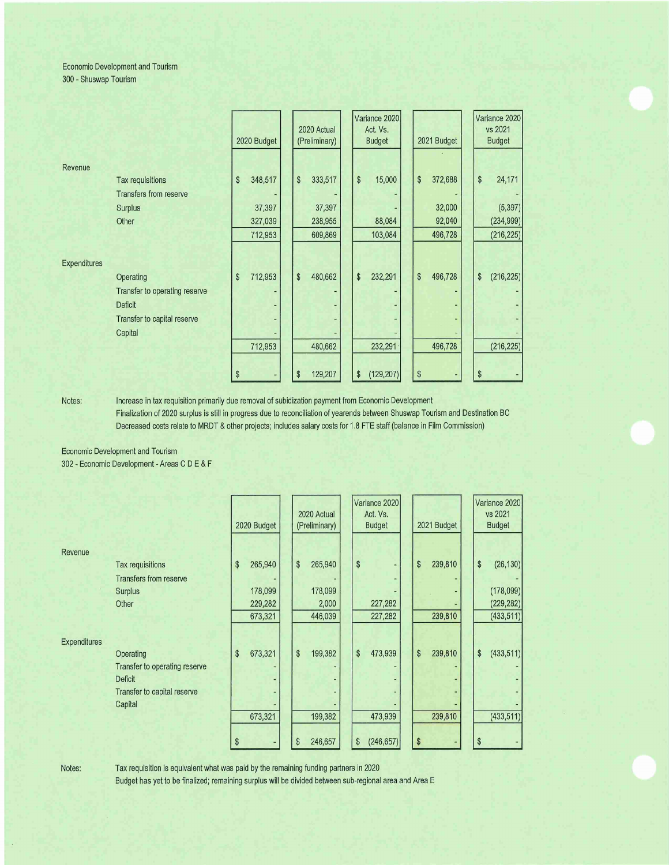## Economic Development and Tourism 300 - Shuswap Tourism

|                     |                               | 2020 Budget   | 2020 Actual<br>(Preliminary) |  | Variance 2020<br>Act. Vs.<br><b>Budget</b> | 2021 Budget   | Variance 2020<br>vs 2021<br><b>Budget</b> |
|---------------------|-------------------------------|---------------|------------------------------|--|--------------------------------------------|---------------|-------------------------------------------|
| Revenue             |                               |               |                              |  |                                            |               |                                           |
|                     | Tax requisitions              | 348,517<br>\$ | $\pmb{\$}$<br>333,517        |  | \$<br>15,000                               | \$<br>372,688 | $\,$<br>24,171                            |
|                     | <b>Transfers from reserve</b> |               |                              |  |                                            |               |                                           |
|                     | Surplus                       | 37,397        | 37,397                       |  |                                            | 32,000        | (5, 397)                                  |
|                     | Other                         | 327,039       | 238,955                      |  | 88,084                                     | 92,040        | (234, 999)                                |
|                     |                               | 712,953       | 609,869                      |  | 103,084                                    | 496,728       | (216, 225)                                |
| <b>Expenditures</b> |                               |               |                              |  |                                            |               |                                           |
|                     | Operating                     | 712,953<br>\$ | \$<br>480,662                |  | \$<br>232,291                              | \$<br>496,728 | \$<br>(216, 225)                          |
|                     | Transfer to operating reserve |               |                              |  |                                            |               |                                           |
|                     | <b>Deficit</b>                |               |                              |  |                                            |               |                                           |
|                     | Transfer to capital reserve   |               |                              |  |                                            |               |                                           |
|                     | Capital                       |               |                              |  |                                            |               |                                           |
|                     |                               | 712,953       | 480,662                      |  | 232,291                                    | 496,728       | (216, 225)                                |
|                     |                               |               |                              |  |                                            |               |                                           |
|                     |                               | \$            | 129,207<br>\$                |  | (129, 207)<br>\$                           | \$            | \$                                        |

Notes: Increase in tax requisition primarily due removal of subidization payment from Economic Development

Finalization of 2020 surplus is still in progress due to reconciliation of yearends between Shuswap Tourism and Destination BC Decreased costs relate to MRDT & other projects; includes salary costs for 1.8 FTE staff (balance in Film Commission)

Economic Development and Tourism 302 - Economic Development - Areas C D E & F

|                     |                                                                                                        |    | 2020 Budget |  | 2020 Actual<br>(Preliminary) |         | Variance 2020<br>Act. Vs.<br><b>Budget</b> | 2021 Budget |         |    | Variance 2020<br>vs 2021<br><b>Budget</b> |
|---------------------|--------------------------------------------------------------------------------------------------------|----|-------------|--|------------------------------|---------|--------------------------------------------|-------------|---------|----|-------------------------------------------|
| Revenue             |                                                                                                        |    |             |  |                              |         |                                            |             |         |    |                                           |
|                     | Tax requisitions                                                                                       | \$ | 265,940     |  | \$                           | 265,940 | \$                                         | \$          | 239,810 | \$ | (26, 130)                                 |
|                     | <b>Transfers from reserve</b>                                                                          |    |             |  |                              |         |                                            |             |         |    |                                           |
|                     | <b>Surplus</b>                                                                                         |    | 178,099     |  |                              | 178,099 |                                            |             |         |    | (178,099)                                 |
|                     | Other                                                                                                  |    | 229,282     |  |                              | 2,000   | 227,282                                    |             |         |    | (229, 282)                                |
|                     |                                                                                                        |    | 673,321     |  |                              | 446,039 | 227,282                                    |             | 239,810 |    | (433, 511)                                |
| <b>Expenditures</b> | Operating<br>Transfer to operating reserve<br><b>Deficit</b><br>Transfer to capital reserve<br>Capital | \$ | 673,321     |  | \$                           | 199,382 | \$<br>473,939                              | \$          | 239,810 | \$ | (433, 511)                                |
|                     |                                                                                                        |    | 673,321     |  |                              | 199,382 | 473,939                                    |             | 239,810 |    | (433, 511)                                |
|                     |                                                                                                        |    |             |  | \$                           | 246,657 | \$<br>(246, 657)                           | \$          |         | S  |                                           |

Notes: Tax requisition is equivalent what was paid by the remaining funding partners in 2020

Budget has yet to be finalized; remaining surplus will be divided between sub-regional area and Area E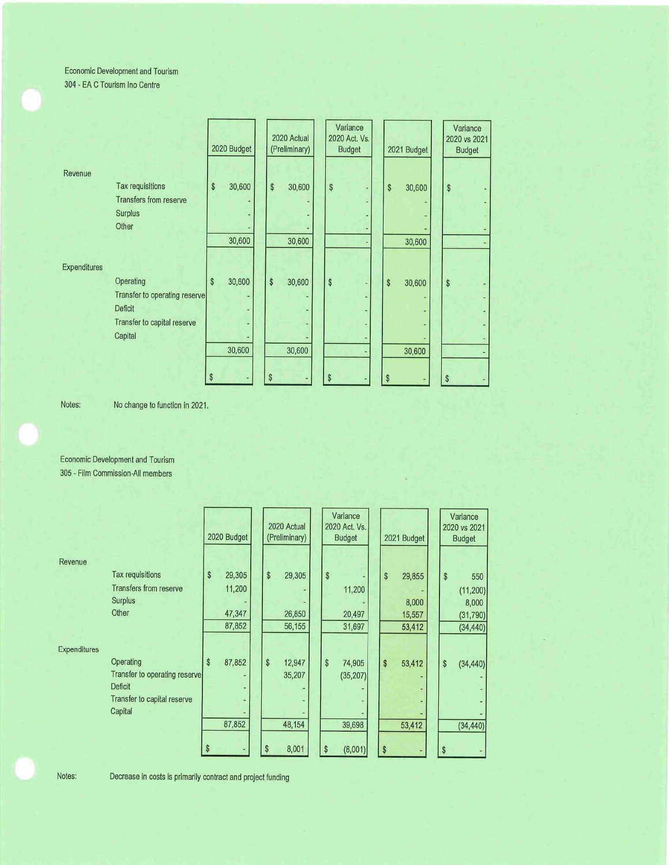Economic Development and Tourism 304 - EA G Tourism Ino Centre

|                               | 2020 Budget  | 2020 Actual<br>(Preliminary) | Variance<br>2020 Act. Vs.<br><b>Budget</b> | 2021 Budget  | Variance<br>2020 vs 2021<br><b>Budget</b> |  |
|-------------------------------|--------------|------------------------------|--------------------------------------------|--------------|-------------------------------------------|--|
| Revenue                       |              |                              |                                            |              |                                           |  |
| Tax requisitions              | \$<br>30,600 | \$<br>30,600                 | \$                                         | \$<br>30,600 | \$                                        |  |
| Transfers from reserve        |              |                              |                                            |              |                                           |  |
| <b>Surplus</b>                |              |                              |                                            |              |                                           |  |
| Other                         |              |                              |                                            |              |                                           |  |
|                               | 30,600       | 30,600                       |                                            | 30,600       |                                           |  |
| <b>Expenditures</b>           |              |                              |                                            |              |                                           |  |
| Operating                     | 30,600<br>\$ | \$<br>30,600                 | \$                                         | \$<br>30,600 | $\frac{1}{2}$                             |  |
| Transfer to operating reserve |              |                              |                                            |              |                                           |  |
| Deficit                       |              |                              |                                            |              |                                           |  |
| Transfer to capital reserve   |              |                              |                                            |              |                                           |  |
| Capital                       |              |                              |                                            |              |                                           |  |
|                               | 30,600       | 30,600                       |                                            | 30,600       |                                           |  |
|                               |              |                              |                                            |              |                                           |  |
|                               | \$           | \$                           | \$                                         | \$           | \$                                        |  |

Notes: No change to function in 2021.

Economic Development and Tourism 305 - Film Commission-AII members

|                     |                                                                                                 | 2020 Budget                                | 2020 Actual<br>(Preliminary)                    | Variance<br>2020 Act. Vs.<br><b>Budget</b>           | 2021 Budget                               | Variance<br>2020 vs 2021<br><b>Budget</b>                 |
|---------------------|-------------------------------------------------------------------------------------------------|--------------------------------------------|-------------------------------------------------|------------------------------------------------------|-------------------------------------------|-----------------------------------------------------------|
| Revenue             | <b>Tax requisitions</b><br><b>Transfers from reserve</b><br>Surplus<br>Other                    | \$<br>29,305<br>11,200<br>47,347<br>87,852 | \$<br>29,305<br>26,850<br>56,155                | \$<br>11,200<br>20,497<br>31,697                     | \$<br>29,855<br>8,000<br>15,557<br>53,412 | \$<br>550<br>(11, 200)<br>8,000<br>(31, 790)<br>(34, 440) |
| <b>Expenditures</b> | Operating<br>Transfer to operating reserve<br>Deficit<br>Transfer to capital reserve<br>Capital | \$<br>87,852<br>87,852<br>S                | \$<br>12,947<br>35,207<br>48,154<br>8,001<br>\$ | \$<br>74,905<br>(35, 207)<br>39,698<br>\$<br>(8,001) | \$<br>53,412<br>53,412<br>S               | \$<br>(34, 440)<br>(34, 440)                              |

Notes: Decrease in costs is primarily contract and project funding